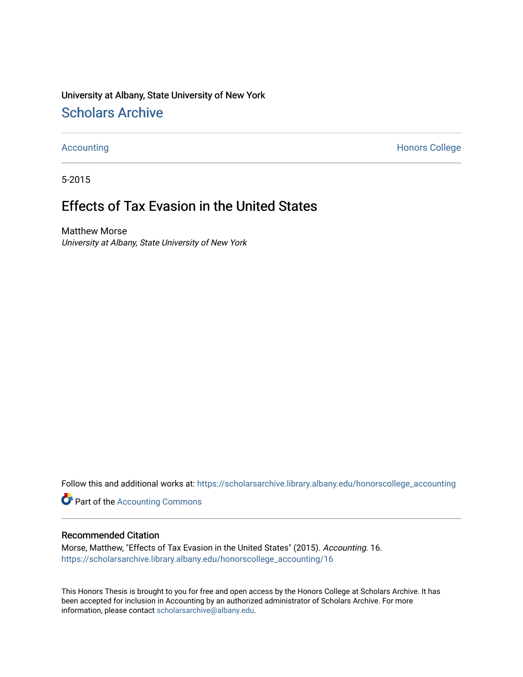University at Albany, State University of New York [Scholars Archive](https://scholarsarchive.library.albany.edu/) 

[Accounting](https://scholarsarchive.library.albany.edu/honorscollege_accounting) **Honors College** 

5-2015

# Effects of Tax Evasion in the United States

Matthew Morse University at Albany, State University of New York

Follow this and additional works at: [https://scholarsarchive.library.albany.edu/honorscollege\\_accounting](https://scholarsarchive.library.albany.edu/honorscollege_accounting?utm_source=scholarsarchive.library.albany.edu%2Fhonorscollege_accounting%2F16&utm_medium=PDF&utm_campaign=PDFCoverPages) 

**Part of the [Accounting Commons](http://network.bepress.com/hgg/discipline/625?utm_source=scholarsarchive.library.albany.edu%2Fhonorscollege_accounting%2F16&utm_medium=PDF&utm_campaign=PDFCoverPages)** 

#### Recommended Citation

Morse, Matthew, "Effects of Tax Evasion in the United States" (2015). Accounting. 16. [https://scholarsarchive.library.albany.edu/honorscollege\\_accounting/16](https://scholarsarchive.library.albany.edu/honorscollege_accounting/16?utm_source=scholarsarchive.library.albany.edu%2Fhonorscollege_accounting%2F16&utm_medium=PDF&utm_campaign=PDFCoverPages) 

This Honors Thesis is brought to you for free and open access by the Honors College at Scholars Archive. It has been accepted for inclusion in Accounting by an authorized administrator of Scholars Archive. For more information, please contact [scholarsarchive@albany.edu.](mailto:scholarsarchive@albany.edu)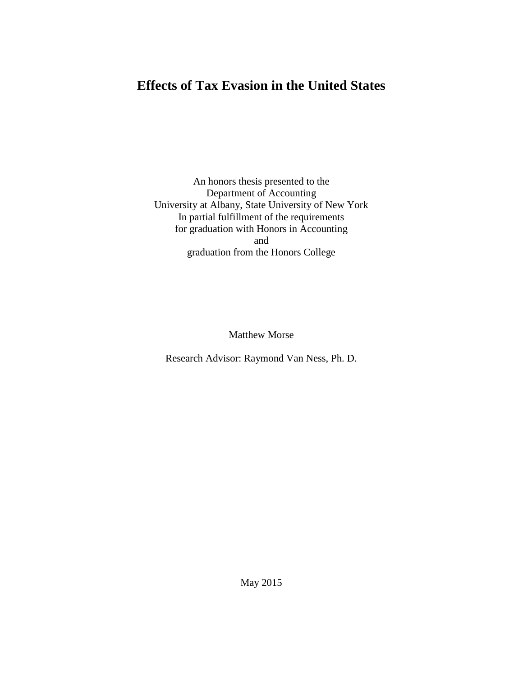## **Effects of Tax Evasion in the United States**

An honors thesis presented to the Department of Accounting University at Albany, State University of New York In partial fulfillment of the requirements for graduation with Honors in Accounting and graduation from the Honors College

Matthew Morse

Research Advisor: Raymond Van Ness, Ph. D.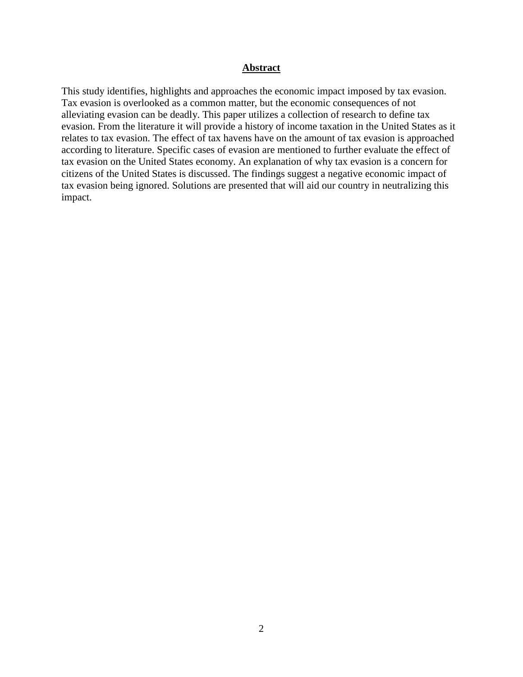### **Abstract**

This study identifies, highlights and approaches the economic impact imposed by tax evasion. Tax evasion is overlooked as a common matter, but the economic consequences of not alleviating evasion can be deadly. This paper utilizes a collection of research to define tax evasion. From the literature it will provide a history of income taxation in the United States as it relates to tax evasion. The effect of tax havens have on the amount of tax evasion is approached according to literature. Specific cases of evasion are mentioned to further evaluate the effect of tax evasion on the United States economy. An explanation of why tax evasion is a concern for citizens of the United States is discussed. The findings suggest a negative economic impact of tax evasion being ignored. Solutions are presented that will aid our country in neutralizing this impact.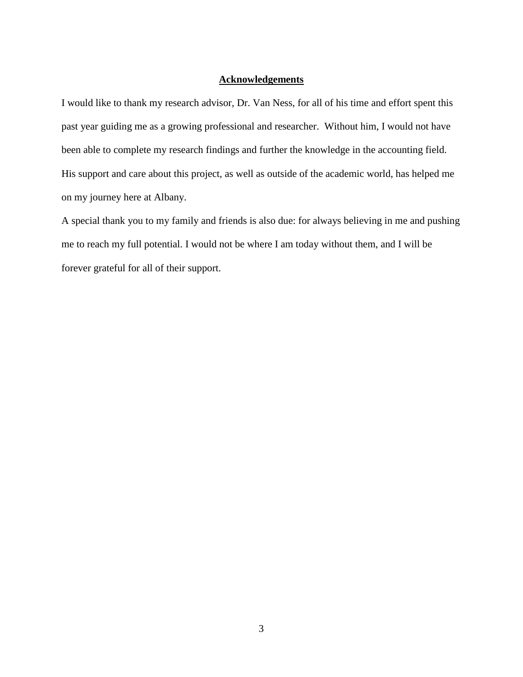#### **Acknowledgements**

I would like to thank my research advisor, Dr. Van Ness, for all of his time and effort spent this past year guiding me as a growing professional and researcher. Without him, I would not have been able to complete my research findings and further the knowledge in the accounting field. His support and care about this project, as well as outside of the academic world, has helped me on my journey here at Albany.

A special thank you to my family and friends is also due: for always believing in me and pushing me to reach my full potential. I would not be where I am today without them, and I will be forever grateful for all of their support.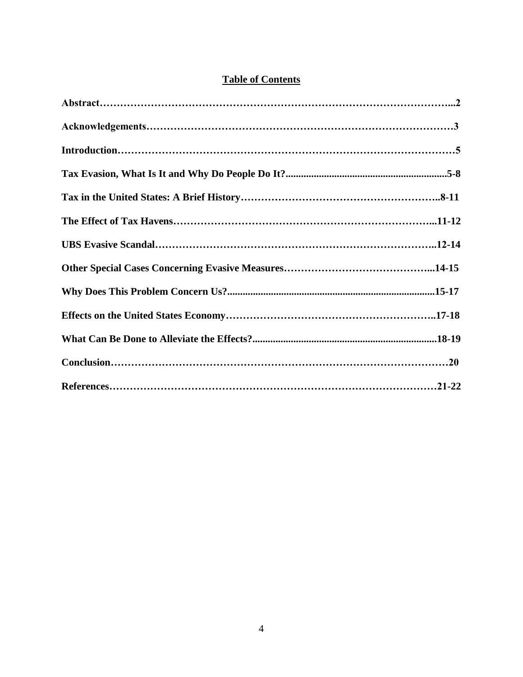## **Table of Contents**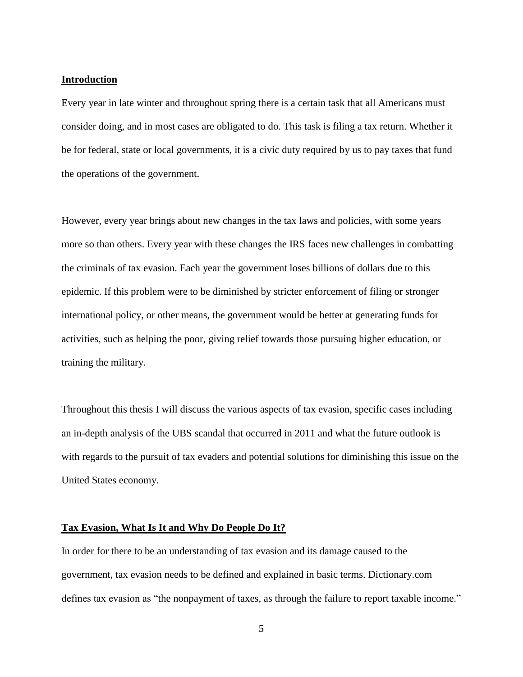#### **Introduction**

Every year in late winter and throughout spring there is a certain task that all Americans must consider doing, and in most cases are obligated to do. This task is filing a tax return. Whether it be for federal, state or local governments, it is a civic duty required by us to pay taxes that fund the operations of the government.

However, every year brings about new changes in the tax laws and policies, with some years more so than others. Every year with these changes the IRS faces new challenges in combatting the criminals of tax evasion. Each year the government loses billions of dollars due to this epidemic. If this problem were to be diminished by stricter enforcement of filing or stronger international policy, or other means, the government would be better at generating funds for activities, such as helping the poor, giving relief towards those pursuing higher education, or training the military.

Throughout this thesis I will discuss the various aspects of tax evasion, specific cases including an in-depth analysis of the UBS scandal that occurred in 2011 and what the future outlook is with regards to the pursuit of tax evaders and potential solutions for diminishing this issue on the United States economy.

#### **Tax Evasion, What Is It and Why Do People Do It?**

In order for there to be an understanding of tax evasion and its damage caused to the government, tax evasion needs to be defined and explained in basic terms. Dictionary.com defines tax evasion as "the nonpayment of taxes, as through the failure to report taxable income."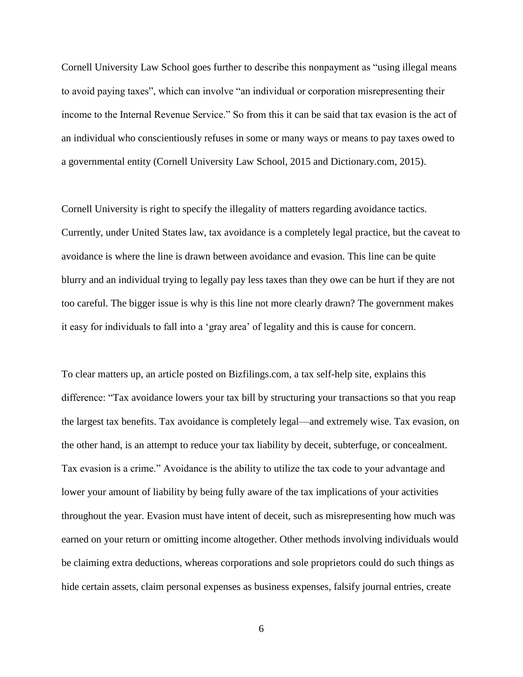Cornell University Law School goes further to describe this nonpayment as "using illegal means to avoid paying taxes", which can involve "an individual or corporation misrepresenting their income to the Internal Revenue Service." So from this it can be said that tax evasion is the act of an individual who conscientiously refuses in some or many ways or means to pay taxes owed to a governmental entity (Cornell University Law School, 2015 and Dictionary.com, 2015).

Cornell University is right to specify the illegality of matters regarding avoidance tactics. Currently, under United States law, tax avoidance is a completely legal practice, but the caveat to avoidance is where the line is drawn between avoidance and evasion. This line can be quite blurry and an individual trying to legally pay less taxes than they owe can be hurt if they are not too careful. The bigger issue is why is this line not more clearly drawn? The government makes it easy for individuals to fall into a 'gray area' of legality and this is cause for concern.

To clear matters up, an article posted on Bizfilings.com, a tax self-help site, explains this difference: "Tax avoidance lowers your tax bill by structuring your transactions so that you reap the largest tax benefits. Tax avoidance is completely legal—and extremely wise. Tax evasion, on the other hand, is an attempt to reduce your tax liability by deceit, subterfuge, or concealment. Tax evasion is a crime." Avoidance is the ability to utilize the tax code to your advantage and lower your amount of liability by being fully aware of the tax implications of your activities throughout the year. Evasion must have intent of deceit, such as misrepresenting how much was earned on your return or omitting income altogether. Other methods involving individuals would be claiming extra deductions, whereas corporations and sole proprietors could do such things as hide certain assets, claim personal expenses as business expenses, falsify journal entries, create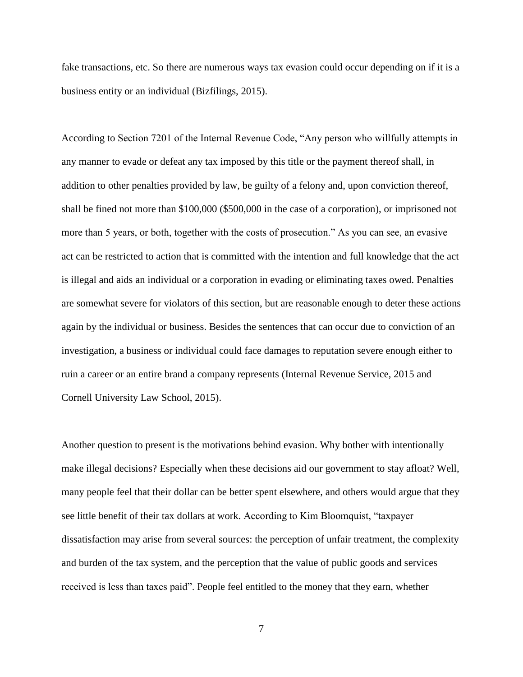fake transactions, etc. So there are numerous ways tax evasion could occur depending on if it is a business entity or an individual (Bizfilings, 2015).

According to Section 7201 of the Internal Revenue Code, "Any person who willfully attempts in any manner to evade or defeat any tax imposed by this title or the payment thereof shall, in addition to other penalties provided by law, be guilty of a felony and, upon conviction thereof, shall be fined not more than \$100,000 (\$500,000 in the case of a corporation), or imprisoned not more than 5 years, or both, together with the costs of prosecution." As you can see, an evasive act can be restricted to action that is committed with the intention and full knowledge that the act is illegal and aids an individual or a corporation in evading or eliminating taxes owed. Penalties are somewhat severe for violators of this section, but are reasonable enough to deter these actions again by the individual or business. Besides the sentences that can occur due to conviction of an investigation, a business or individual could face damages to reputation severe enough either to ruin a career or an entire brand a company represents (Internal Revenue Service, 2015 and Cornell University Law School, 2015).

Another question to present is the motivations behind evasion. Why bother with intentionally make illegal decisions? Especially when these decisions aid our government to stay afloat? Well, many people feel that their dollar can be better spent elsewhere, and others would argue that they see little benefit of their tax dollars at work. According to Kim Bloomquist, "taxpayer dissatisfaction may arise from several sources: the perception of unfair treatment, the complexity and burden of the tax system, and the perception that the value of public goods and services received is less than taxes paid". People feel entitled to the money that they earn, whether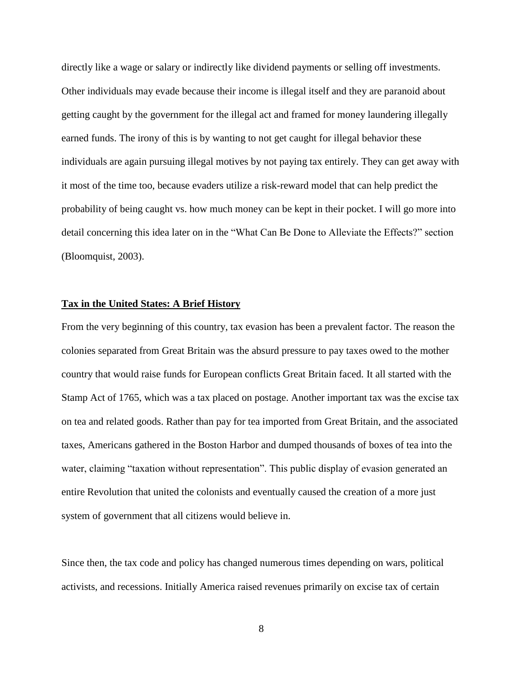directly like a wage or salary or indirectly like dividend payments or selling off investments. Other individuals may evade because their income is illegal itself and they are paranoid about getting caught by the government for the illegal act and framed for money laundering illegally earned funds. The irony of this is by wanting to not get caught for illegal behavior these individuals are again pursuing illegal motives by not paying tax entirely. They can get away with it most of the time too, because evaders utilize a risk-reward model that can help predict the probability of being caught vs. how much money can be kept in their pocket. I will go more into detail concerning this idea later on in the "What Can Be Done to Alleviate the Effects?" section (Bloomquist, 2003).

#### **Tax in the United States: A Brief History**

From the very beginning of this country, tax evasion has been a prevalent factor. The reason the colonies separated from Great Britain was the absurd pressure to pay taxes owed to the mother country that would raise funds for European conflicts Great Britain faced. It all started with the Stamp Act of 1765, which was a tax placed on postage. Another important tax was the excise tax on tea and related goods. Rather than pay for tea imported from Great Britain, and the associated taxes, Americans gathered in the Boston Harbor and dumped thousands of boxes of tea into the water, claiming "taxation without representation". This public display of evasion generated an entire Revolution that united the colonists and eventually caused the creation of a more just system of government that all citizens would believe in.

Since then, the tax code and policy has changed numerous times depending on wars, political activists, and recessions. Initially America raised revenues primarily on excise tax of certain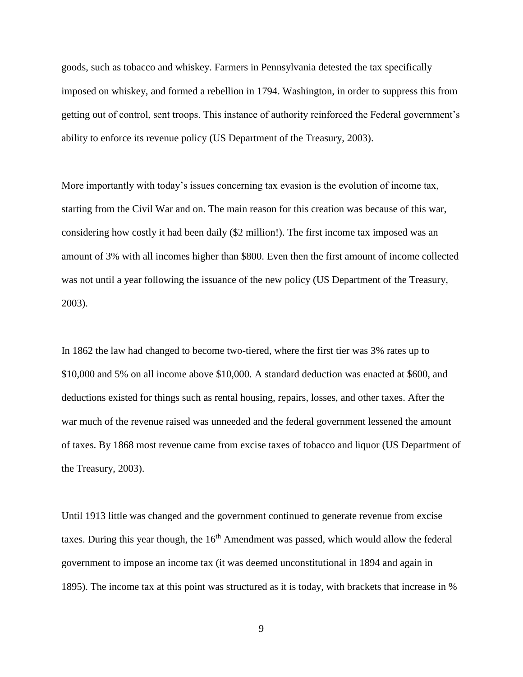goods, such as tobacco and whiskey. Farmers in Pennsylvania detested the tax specifically imposed on whiskey, and formed a rebellion in 1794. Washington, in order to suppress this from getting out of control, sent troops. This instance of authority reinforced the Federal government's ability to enforce its revenue policy (US Department of the Treasury, 2003).

More importantly with today's issues concerning tax evasion is the evolution of income tax, starting from the Civil War and on. The main reason for this creation was because of this war, considering how costly it had been daily (\$2 million!). The first income tax imposed was an amount of 3% with all incomes higher than \$800. Even then the first amount of income collected was not until a year following the issuance of the new policy (US Department of the Treasury, 2003).

In 1862 the law had changed to become two-tiered, where the first tier was 3% rates up to \$10,000 and 5% on all income above \$10,000. A standard deduction was enacted at \$600, and deductions existed for things such as rental housing, repairs, losses, and other taxes. After the war much of the revenue raised was unneeded and the federal government lessened the amount of taxes. By 1868 most revenue came from excise taxes of tobacco and liquor (US Department of the Treasury, 2003).

Until 1913 little was changed and the government continued to generate revenue from excise taxes. During this year though, the  $16<sup>th</sup>$  Amendment was passed, which would allow the federal government to impose an income tax (it was deemed unconstitutional in 1894 and again in 1895). The income tax at this point was structured as it is today, with brackets that increase in %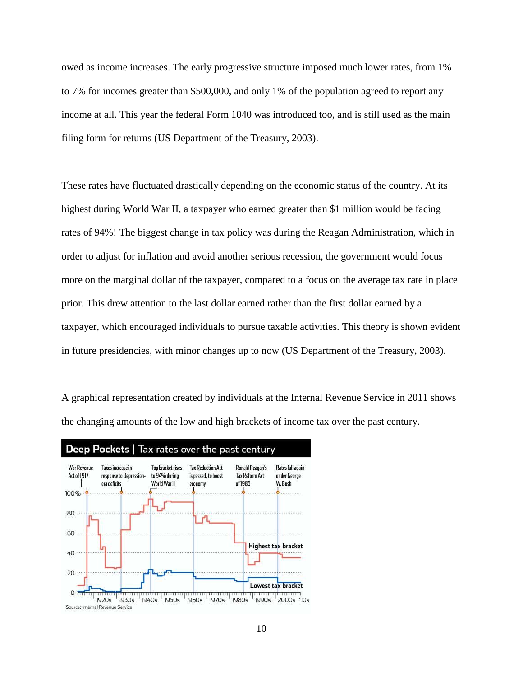owed as income increases. The early progressive structure imposed much lower rates, from 1% to 7% for incomes greater than \$500,000, and only 1% of the population agreed to report any income at all. This year the federal Form 1040 was introduced too, and is still used as the main filing form for returns (US Department of the Treasury, 2003).

These rates have fluctuated drastically depending on the economic status of the country. At its highest during World War II, a taxpayer who earned greater than \$1 million would be facing rates of 94%! The biggest change in tax policy was during the Reagan Administration, which in order to adjust for inflation and avoid another serious recession, the government would focus more on the marginal dollar of the taxpayer, compared to a focus on the average tax rate in place prior. This drew attention to the last dollar earned rather than the first dollar earned by a taxpayer, which encouraged individuals to pursue taxable activities. This theory is shown evident in future presidencies, with minor changes up to now (US Department of the Treasury, 2003).

A graphical representation created by individuals at the Internal Revenue Service in 2011 shows the changing amounts of the low and high brackets of income tax over the past century.

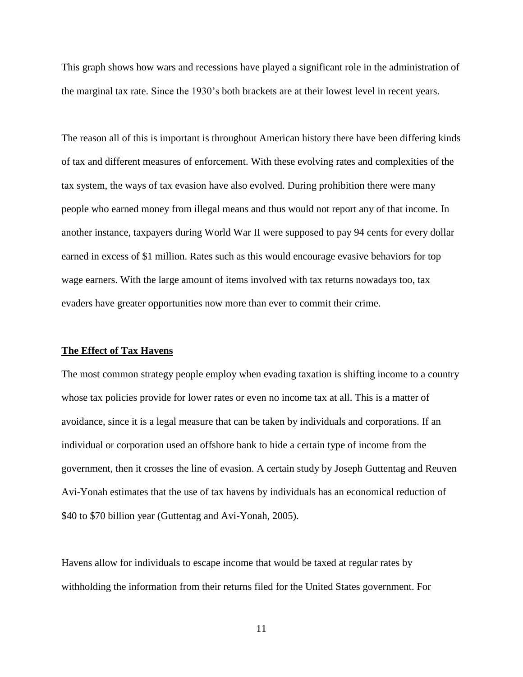This graph shows how wars and recessions have played a significant role in the administration of the marginal tax rate. Since the 1930's both brackets are at their lowest level in recent years.

The reason all of this is important is throughout American history there have been differing kinds of tax and different measures of enforcement. With these evolving rates and complexities of the tax system, the ways of tax evasion have also evolved. During prohibition there were many people who earned money from illegal means and thus would not report any of that income. In another instance, taxpayers during World War II were supposed to pay 94 cents for every dollar earned in excess of \$1 million. Rates such as this would encourage evasive behaviors for top wage earners. With the large amount of items involved with tax returns nowadays too, tax evaders have greater opportunities now more than ever to commit their crime.

#### **The Effect of Tax Havens**

The most common strategy people employ when evading taxation is shifting income to a country whose tax policies provide for lower rates or even no income tax at all. This is a matter of avoidance, since it is a legal measure that can be taken by individuals and corporations. If an individual or corporation used an offshore bank to hide a certain type of income from the government, then it crosses the line of evasion. A certain study by Joseph Guttentag and Reuven Avi-Yonah estimates that the use of tax havens by individuals has an economical reduction of \$40 to \$70 billion year (Guttentag and Avi-Yonah, 2005).

Havens allow for individuals to escape income that would be taxed at regular rates by withholding the information from their returns filed for the United States government. For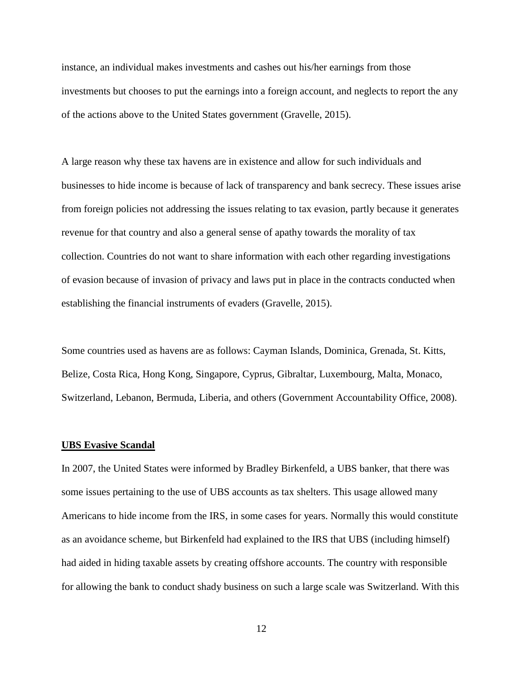instance, an individual makes investments and cashes out his/her earnings from those investments but chooses to put the earnings into a foreign account, and neglects to report the any of the actions above to the United States government (Gravelle, 2015).

A large reason why these tax havens are in existence and allow for such individuals and businesses to hide income is because of lack of transparency and bank secrecy. These issues arise from foreign policies not addressing the issues relating to tax evasion, partly because it generates revenue for that country and also a general sense of apathy towards the morality of tax collection. Countries do not want to share information with each other regarding investigations of evasion because of invasion of privacy and laws put in place in the contracts conducted when establishing the financial instruments of evaders (Gravelle, 2015).

Some countries used as havens are as follows: Cayman Islands, Dominica, Grenada, St. Kitts, Belize, Costa Rica, Hong Kong, Singapore, Cyprus, Gibraltar, Luxembourg, Malta, Monaco, Switzerland, Lebanon, Bermuda, Liberia, and others (Government Accountability Office, 2008).

#### **UBS Evasive Scandal**

In 2007, the United States were informed by Bradley Birkenfeld, a UBS banker, that there was some issues pertaining to the use of UBS accounts as tax shelters. This usage allowed many Americans to hide income from the IRS, in some cases for years. Normally this would constitute as an avoidance scheme, but Birkenfeld had explained to the IRS that UBS (including himself) had aided in hiding taxable assets by creating offshore accounts. The country with responsible for allowing the bank to conduct shady business on such a large scale was Switzerland. With this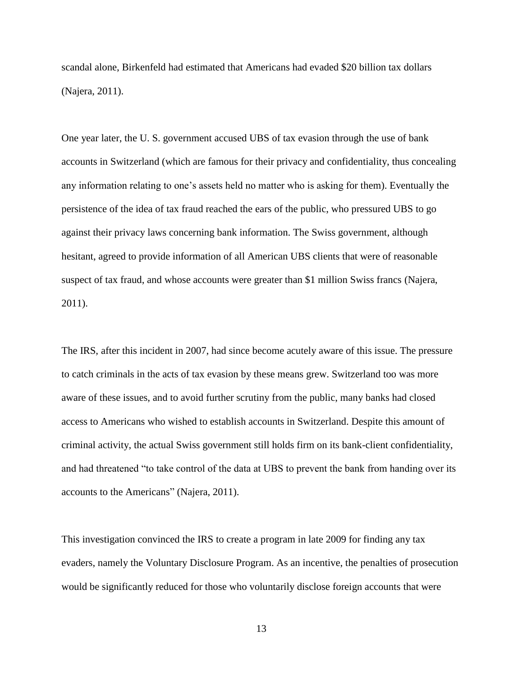scandal alone, Birkenfeld had estimated that Americans had evaded \$20 billion tax dollars (Najera, 2011).

One year later, the U. S. government accused UBS of tax evasion through the use of bank accounts in Switzerland (which are famous for their privacy and confidentiality, thus concealing any information relating to one's assets held no matter who is asking for them). Eventually the persistence of the idea of tax fraud reached the ears of the public, who pressured UBS to go against their privacy laws concerning bank information. The Swiss government, although hesitant, agreed to provide information of all American UBS clients that were of reasonable suspect of tax fraud, and whose accounts were greater than \$1 million Swiss francs (Najera, 2011).

The IRS, after this incident in 2007, had since become acutely aware of this issue. The pressure to catch criminals in the acts of tax evasion by these means grew. Switzerland too was more aware of these issues, and to avoid further scrutiny from the public, many banks had closed access to Americans who wished to establish accounts in Switzerland. Despite this amount of criminal activity, the actual Swiss government still holds firm on its bank-client confidentiality, and had threatened "to take control of the data at UBS to prevent the bank from handing over its accounts to the Americans" (Najera, 2011).

This investigation convinced the IRS to create a program in late 2009 for finding any tax evaders, namely the Voluntary Disclosure Program. As an incentive, the penalties of prosecution would be significantly reduced for those who voluntarily disclose foreign accounts that were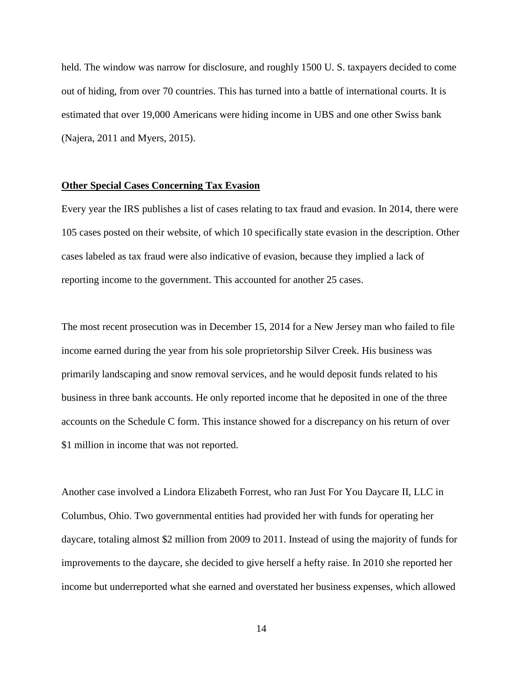held. The window was narrow for disclosure, and roughly 1500 U. S. taxpayers decided to come out of hiding, from over 70 countries. This has turned into a battle of international courts. It is estimated that over 19,000 Americans were hiding income in UBS and one other Swiss bank (Najera, 2011 and Myers, 2015).

#### **Other Special Cases Concerning Tax Evasion**

Every year the IRS publishes a list of cases relating to tax fraud and evasion. In 2014, there were 105 cases posted on their website, of which 10 specifically state evasion in the description. Other cases labeled as tax fraud were also indicative of evasion, because they implied a lack of reporting income to the government. This accounted for another 25 cases.

The most recent prosecution was in December 15, 2014 for a New Jersey man who failed to file income earned during the year from his sole proprietorship Silver Creek. His business was primarily landscaping and snow removal services, and he would deposit funds related to his business in three bank accounts. He only reported income that he deposited in one of the three accounts on the Schedule C form. This instance showed for a discrepancy on his return of over \$1 million in income that was not reported.

Another case involved a Lindora Elizabeth Forrest, who ran Just For You Daycare II, LLC in Columbus, Ohio. Two governmental entities had provided her with funds for operating her daycare, totaling almost \$2 million from 2009 to 2011. Instead of using the majority of funds for improvements to the daycare, she decided to give herself a hefty raise. In 2010 she reported her income but underreported what she earned and overstated her business expenses, which allowed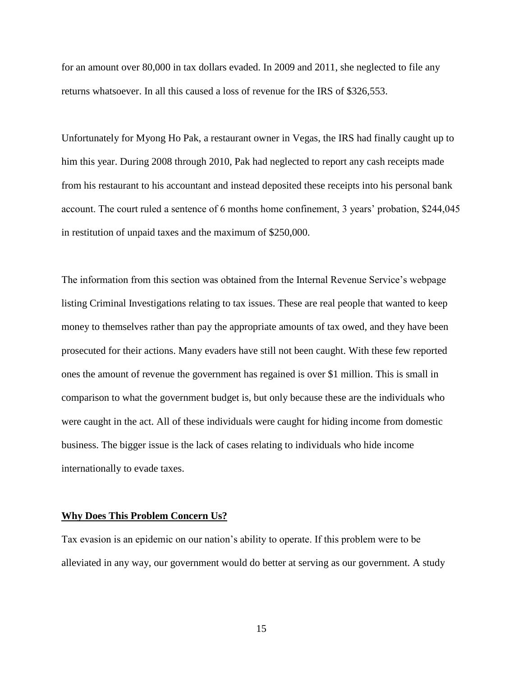for an amount over 80,000 in tax dollars evaded. In 2009 and 2011, she neglected to file any returns whatsoever. In all this caused a loss of revenue for the IRS of \$326,553.

Unfortunately for Myong Ho Pak, a restaurant owner in Vegas, the IRS had finally caught up to him this year. During 2008 through 2010, Pak had neglected to report any cash receipts made from his restaurant to his accountant and instead deposited these receipts into his personal bank account. The court ruled a sentence of 6 months home confinement, 3 years' probation, \$244,045 in restitution of unpaid taxes and the maximum of \$250,000.

The information from this section was obtained from the Internal Revenue Service's webpage listing Criminal Investigations relating to tax issues. These are real people that wanted to keep money to themselves rather than pay the appropriate amounts of tax owed, and they have been prosecuted for their actions. Many evaders have still not been caught. With these few reported ones the amount of revenue the government has regained is over \$1 million. This is small in comparison to what the government budget is, but only because these are the individuals who were caught in the act. All of these individuals were caught for hiding income from domestic business. The bigger issue is the lack of cases relating to individuals who hide income internationally to evade taxes.

#### **Why Does This Problem Concern Us?**

Tax evasion is an epidemic on our nation's ability to operate. If this problem were to be alleviated in any way, our government would do better at serving as our government. A study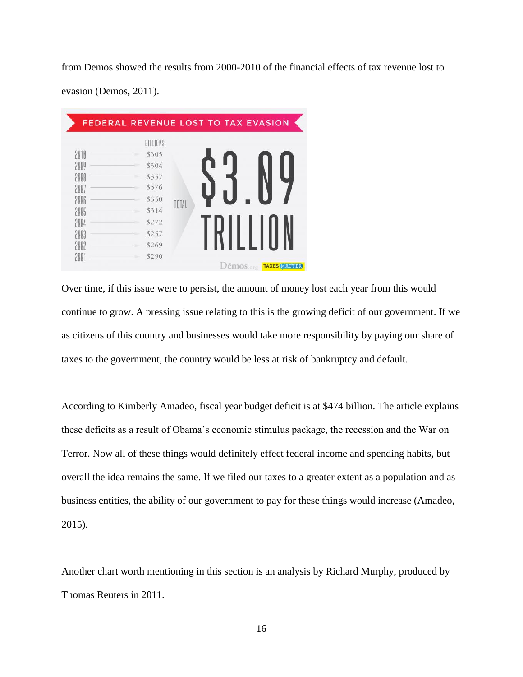from Demos showed the results from 2000-2010 of the financial effects of tax revenue lost to evasion (Demos, 2011).

|      | BILLIONS |       |  |  |  |
|------|----------|-------|--|--|--|
| 2010 | \$305    |       |  |  |  |
| 2009 | \$304    |       |  |  |  |
| 2008 | \$357    |       |  |  |  |
| 2007 | \$376    |       |  |  |  |
| 2006 | \$350    | TOTAL |  |  |  |
| 2005 | \$314    |       |  |  |  |
| 2004 | \$272    |       |  |  |  |
| 2003 | \$257    |       |  |  |  |
| 2002 | \$269    |       |  |  |  |
| 200  | \$290    |       |  |  |  |

Over time, if this issue were to persist, the amount of money lost each year from this would continue to grow. A pressing issue relating to this is the growing deficit of our government. If we as citizens of this country and businesses would take more responsibility by paying our share of taxes to the government, the country would be less at risk of bankruptcy and default.

According to Kimberly Amadeo, fiscal year budget deficit is at \$474 billion. The article explains these deficits as a result of Obama's economic stimulus package, the recession and the War on Terror. Now all of these things would definitely effect federal income and spending habits, but overall the idea remains the same. If we filed our taxes to a greater extent as a population and as business entities, the ability of our government to pay for these things would increase (Amadeo, 2015).

Another chart worth mentioning in this section is an analysis by Richard Murphy, produced by Thomas Reuters in 2011.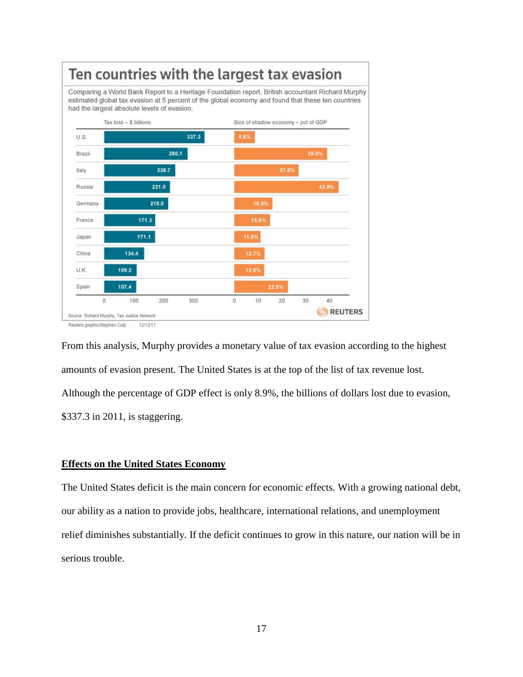

From this analysis, Murphy provides a monetary value of tax evasion according to the highest amounts of evasion present. The United States is at the top of the list of tax revenue lost. Although the percentage of GDP effect is only 8.9%, the billions of dollars lost due to evasion, \$337.3 in 2011, is staggering.

#### **Effects on the United States Economy**

The United States deficit is the main concern for economic effects. With a growing national debt, our ability as a nation to provide jobs, healthcare, international relations, and unemployment relief diminishes substantially. If the deficit continues to grow in this nature, our nation will be in serious trouble.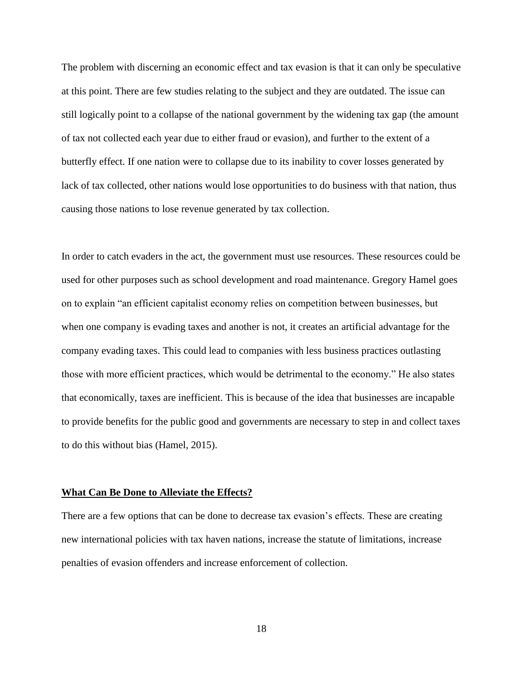The problem with discerning an economic effect and tax evasion is that it can only be speculative at this point. There are few studies relating to the subject and they are outdated. The issue can still logically point to a collapse of the national government by the widening tax gap (the amount of tax not collected each year due to either fraud or evasion), and further to the extent of a butterfly effect. If one nation were to collapse due to its inability to cover losses generated by lack of tax collected, other nations would lose opportunities to do business with that nation, thus causing those nations to lose revenue generated by tax collection.

In order to catch evaders in the act, the government must use resources. These resources could be used for other purposes such as school development and road maintenance. Gregory Hamel goes on to explain "an efficient capitalist economy relies on competition between businesses, but when one company is evading taxes and another is not, it creates an artificial advantage for the company evading taxes. This could lead to companies with less business practices outlasting those with more efficient practices, which would be detrimental to the economy." He also states that economically, taxes are inefficient. This is because of the idea that businesses are incapable to provide benefits for the public good and governments are necessary to step in and collect taxes to do this without bias (Hamel, 2015).

#### **What Can Be Done to Alleviate the Effects?**

There are a few options that can be done to decrease tax evasion's effects. These are creating new international policies with tax haven nations, increase the statute of limitations, increase penalties of evasion offenders and increase enforcement of collection.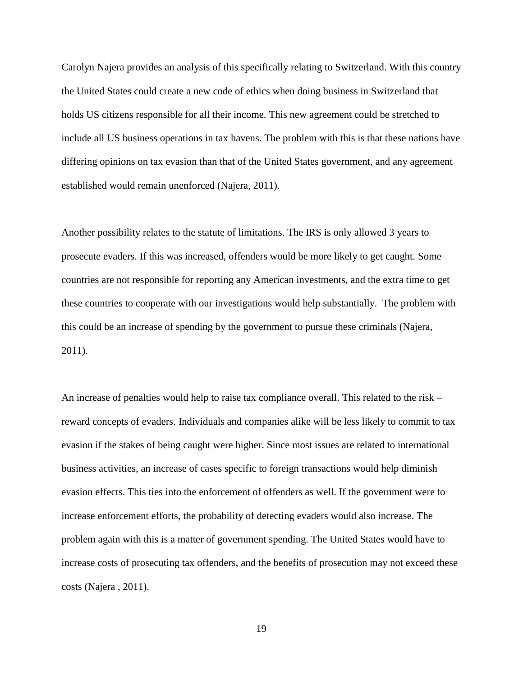Carolyn Najera provides an analysis of this specifically relating to Switzerland. With this country the United States could create a new code of ethics when doing business in Switzerland that holds US citizens responsible for all their income. This new agreement could be stretched to include all US business operations in tax havens. The problem with this is that these nations have differing opinions on tax evasion than that of the United States government, and any agreement established would remain unenforced (Najera, 2011).

Another possibility relates to the statute of limitations. The IRS is only allowed 3 years to prosecute evaders. If this was increased, offenders would be more likely to get caught. Some countries are not responsible for reporting any American investments, and the extra time to get these countries to cooperate with our investigations would help substantially. The problem with this could be an increase of spending by the government to pursue these criminals (Najera, 2011).

An increase of penalties would help to raise tax compliance overall. This related to the risk – reward concepts of evaders. Individuals and companies alike will be less likely to commit to tax evasion if the stakes of being caught were higher. Since most issues are related to international business activities, an increase of cases specific to foreign transactions would help diminish evasion effects. This ties into the enforcement of offenders as well. If the government were to increase enforcement efforts, the probability of detecting evaders would also increase. The problem again with this is a matter of government spending. The United States would have to increase costs of prosecuting tax offenders, and the benefits of prosecution may not exceed these costs (Najera , 2011).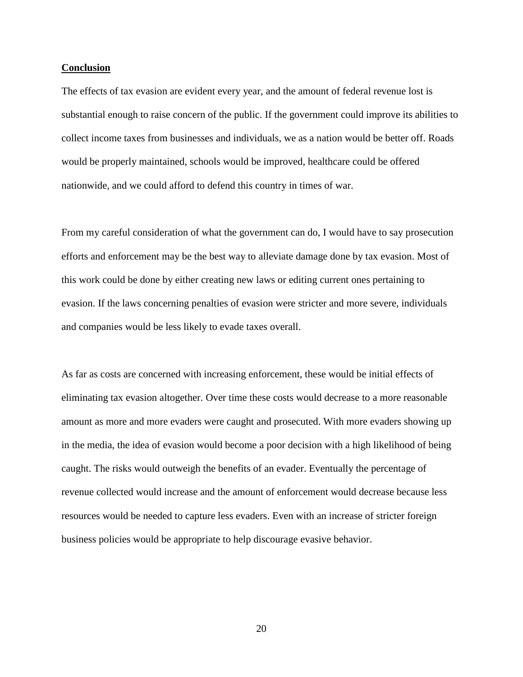#### **Conclusion**

The effects of tax evasion are evident every year, and the amount of federal revenue lost is substantial enough to raise concern of the public. If the government could improve its abilities to collect income taxes from businesses and individuals, we as a nation would be better off. Roads would be properly maintained, schools would be improved, healthcare could be offered nationwide, and we could afford to defend this country in times of war.

From my careful consideration of what the government can do, I would have to say prosecution efforts and enforcement may be the best way to alleviate damage done by tax evasion. Most of this work could be done by either creating new laws or editing current ones pertaining to evasion. If the laws concerning penalties of evasion were stricter and more severe, individuals and companies would be less likely to evade taxes overall.

As far as costs are concerned with increasing enforcement, these would be initial effects of eliminating tax evasion altogether. Over time these costs would decrease to a more reasonable amount as more and more evaders were caught and prosecuted. With more evaders showing up in the media, the idea of evasion would become a poor decision with a high likelihood of being caught. The risks would outweigh the benefits of an evader. Eventually the percentage of revenue collected would increase and the amount of enforcement would decrease because less resources would be needed to capture less evaders. Even with an increase of stricter foreign business policies would be appropriate to help discourage evasive behavior.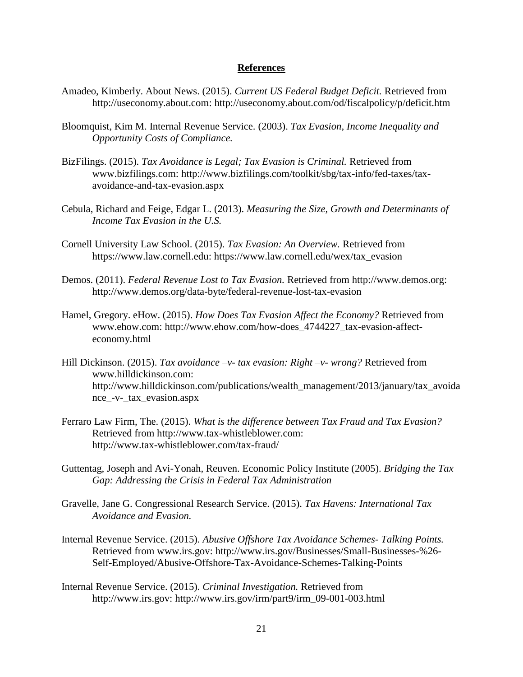#### **References**

- Amadeo, Kimberly. About News. (2015). *Current US Federal Budget Deficit.* Retrieved from http://useconomy.about.com: http://useconomy.about.com/od/fiscalpolicy/p/deficit.htm
- Bloomquist, Kim M. Internal Revenue Service. (2003). *Tax Evasion, Income Inequality and Opportunity Costs of Compliance.*
- BizFilings. (2015). *Tax Avoidance is Legal; Tax Evasion is Criminal.* Retrieved from www.bizfilings.com: http://www.bizfilings.com/toolkit/sbg/tax-info/fed-taxes/taxavoidance-and-tax-evasion.aspx
- Cebula, Richard and Feige, Edgar L. (2013). *Measuring the Size, Growth and Determinants of Income Tax Evasion in the U.S.*
- Cornell University Law School. (2015). *Tax Evasion: An Overview.* Retrieved from https://www.law.cornell.edu: https://www.law.cornell.edu/wex/tax\_evasion
- Demos. (2011). *Federal Revenue Lost to Tax Evasion.* Retrieved from http://www.demos.org: http://www.demos.org/data-byte/federal-revenue-lost-tax-evasion
- Hamel, Gregory. eHow. (2015). *How Does Tax Evasion Affect the Economy?* Retrieved from www.ehow.com: http://www.ehow.com/how-does\_4744227\_tax-evasion-affecteconomy.html
- Hill Dickinson. (2015). *Tax avoidance –v- tax evasion: Right –v- wrong?* Retrieved from www.hilldickinson.com: http://www.hilldickinson.com/publications/wealth\_management/2013/january/tax\_avoida nce\_-v-\_tax\_evasion.aspx
- Ferraro Law Firm, The. (2015). *What is the difference between Tax Fraud and Tax Evasion?* Retrieved from http://www.tax-whistleblower.com: http://www.tax-whistleblower.com/tax-fraud/
- Guttentag, Joseph and Avi-Yonah, Reuven. Economic Policy Institute (2005). *Bridging the Tax Gap: Addressing the Crisis in Federal Tax Administration*
- Gravelle, Jane G. Congressional Research Service. (2015). *Tax Havens: International Tax Avoidance and Evasion.*
- Internal Revenue Service. (2015). *Abusive Offshore Tax Avoidance Schemes- Talking Points.* Retrieved from www.irs.gov: http://www.irs.gov/Businesses/Small-Businesses-%26- Self-Employed/Abusive-Offshore-Tax-Avoidance-Schemes-Talking-Points
- Internal Revenue Service. (2015). *Criminal Investigation.* Retrieved from http://www.irs.gov: http://www.irs.gov/irm/part9/irm\_09-001-003.html